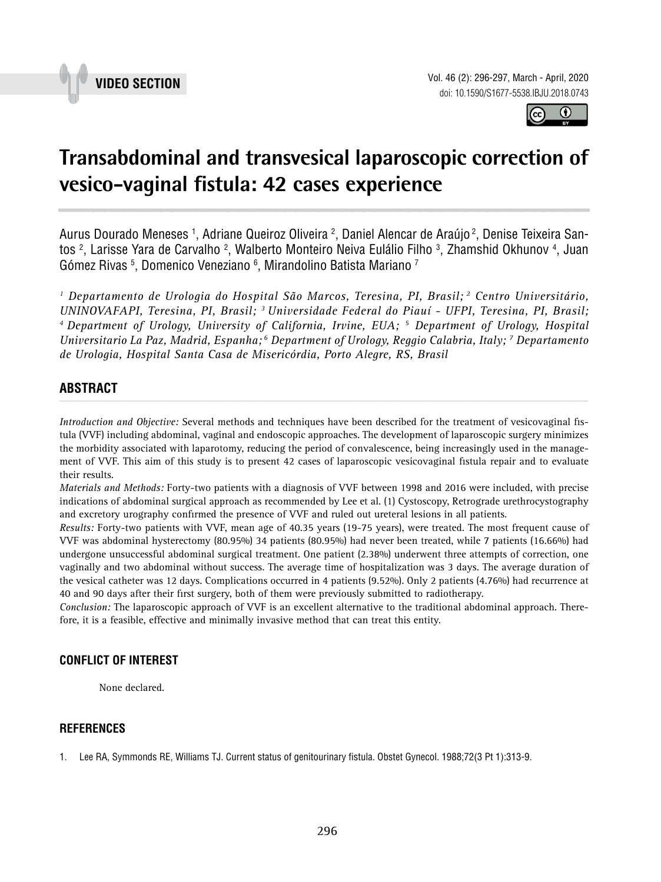



## **Transabdominal and transvesical laparoscopic correction of vesico-vaginal fistula: 42 cases experience \_\_\_\_\_\_\_\_\_\_\_\_\_\_\_\_\_\_\_\_\_\_\_\_\_\_\_\_\_\_\_\_\_\_\_\_\_\_\_\_\_\_\_\_\_\_\_**

Aurus Dourado Meneses <sup>1</sup>, Adriane Queiroz Oliveira <sup>2</sup>, Daniel Alencar de Araújo <sup>2</sup>, Denise Teixeira Santos <sup>2</sup>, Larisse Yara de Carvalho <sup>2</sup>, Walberto Monteiro Neiva Eulálio Filho <sup>3</sup>, Zhamshid Okhunov <sup>4</sup>, Juan Gómez Rivas 5, Domenico Veneziano 6, Mirandolino Batista Mariano <sup>7</sup>

*1 Departamento de Urologia do Hospital São Marcos, Teresina, PI, Brasil; 2 Centro Universitário, UNINOVAFAPI, Teresina, PI, Brasil; 3 Universidade Federal do Piauí - UFPI, Teresina, PI, Brasil; 4 Department of Urology, University of California, Irvine, EUA; 5 Department of Urology, Hospital Universitario La Paz, Madrid, Espanha; 6 Department of Urology, Reggio Calabria, Italy; 7 Departamento de Urologia, Hospital Santa Casa de Misericórdia, Porto Alegre, RS, Brasil*

# **ABSTRACT** *\_\_\_\_\_\_\_\_\_\_\_\_\_\_\_\_\_\_\_\_\_\_\_\_\_\_\_\_\_\_\_\_\_\_\_\_\_\_\_\_\_\_\_\_\_\_\_\_\_\_\_\_\_\_\_\_\_\_\_\_\_\_\_\_\_\_\_\_\_\_\_\_\_\_\_\_\_\_\_\_\_\_\_\_\_\_\_*

*Introduction and Objective:* Several methods and techniques have been described for the treatment of vesicovaginal fistula (VVF) including abdominal, vaginal and endoscopic approaches. The development of laparoscopic surgery minimizes the morbidity associated with laparotomy, reducing the period of convalescence, being increasingly used in the management of VVF. This aim of this study is to present 42 cases of laparoscopic vesicovaginal fistula repair and to evaluate their results.

*Materials and Methods:* Forty-two patients with a diagnosis of VVF between 1998 and 2016 were included, with precise indications of abdominal surgical approach as recommended by Lee et al. (1) Cystoscopy, Retrograde urethrocystography and excretory urography confirmed the presence of VVF and ruled out ureteral lesions in all patients.

*Results:* Forty-two patients with VVF, mean age of 40.35 years (19-75 years), were treated. The most frequent cause of VVF was abdominal hysterectomy (80.95%) 34 patients (80.95%) had never been treated, while 7 patients (16.66%) had undergone unsuccessful abdominal surgical treatment. One patient (2.38%) underwent three attempts of correction, one vaginally and two abdominal without success. The average time of hospitalization was 3 days. The average duration of the vesical catheter was 12 days. Complications occurred in 4 patients (9.52%). Only 2 patients (4.76%) had recurrence at 40 and 90 days after their first surgery, both of them were previously submitted to radiotherapy.

*Conclusion:* The laparoscopic approach of VVF is an excellent alternative to the traditional abdominal approach. Therefore, it is a feasible, effective and minimally invasive method that can treat this entity.

### **CONFLICT OF INTEREST**

None declared.

#### **REFERENCES**

1. Lee RA, Symmonds RE, Williams TJ. Current status of genitourinary fistula. Obstet Gynecol. 1988;72(3 Pt 1):313-9.